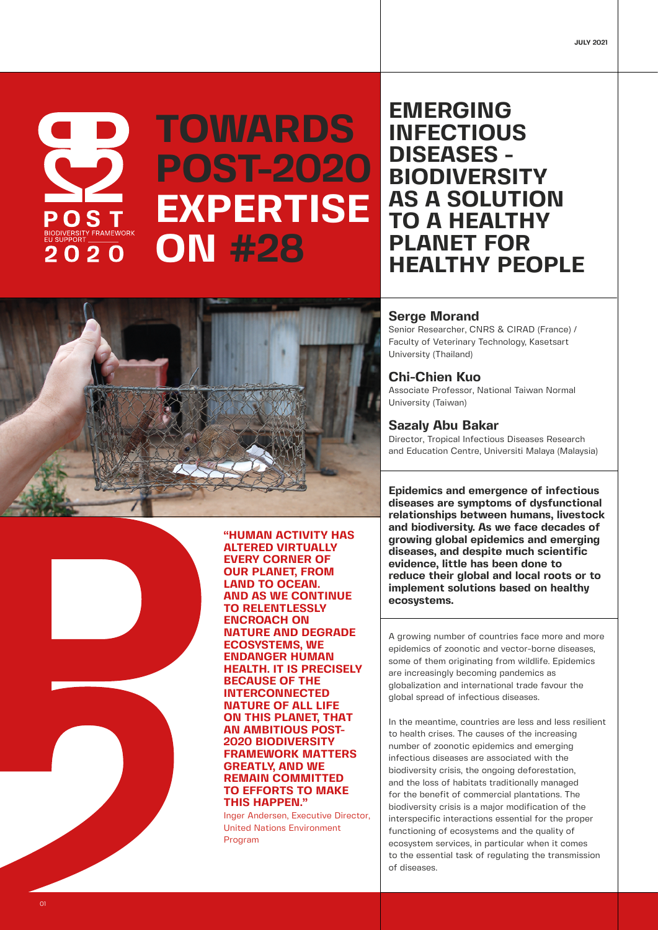

# **TOWARDS POST-2020 EXPERTISE ON #28**

## **EMERGING INFECTIOUS DISEASES - BIODIVERSITY AS A SOLUTION TO A HEALTHY PLANET FOR HEALTHY PEOPLE**





**"HUMAN ACTIVITY HAS ALTERED VIRTUALLY EVERY CORNER OF OUR PLANET, FROM LAND TO OCEAN. AND AS WE CONTINUE TO RELENTLESSLY ENCROACH ON NATURE AND DEGRADE ECOSYSTEMS, WE ENDANGER HUMAN HEALTH. IT IS PRECISELY BECAUSE OF THE INTERCONNECTED NATURE OF ALL LIFE ON THIS PLANET, THAT AN AMBITIOUS POST-2020 BIODIVERSITY FRAMEWORK MATTERS GREATLY, AND WE REMAIN COMMITTED TO EFFORTS TO MAKE THIS HAPPEN."**

Inger Andersen, Executive Director, United Nations Environment Program

#### **Serge Morand**

Senior Researcher, CNRS & CIRAD (France) / Faculty of Veterinary Technology, Kasetsart University (Thailand)

#### **Chi-Chien Kuo**

Associate Professor, National Taiwan Normal University (Taiwan)

### **Sazaly Abu Bakar**

Director, Tropical Infectious Diseases Research and Education Centre, Universiti Malaya (Malaysia)

**Epidemics and emergence of infectious diseases are symptoms of dysfunctional relationships between humans, livestock and biodiversity. As we face decades of growing global epidemics and emerging diseases, and despite much scientific evidence, little has been done to reduce their global and local roots or to implement solutions based on healthy ecosystems.**

A growing number of countries face more and more epidemics of zoonotic and vector-borne diseases, some of them originating from wildlife. Epidemics are increasingly becoming pandemics as globalization and international trade favour the global spread of infectious diseases.

In the meantime, countries are less and less resilient to health crises. The causes of the increasing number of zoonotic epidemics and emerging infectious diseases are associated with the biodiversity crisis, the ongoing deforestation, and the loss of habitats traditionally managed for the benefit of commercial plantations. The biodiversity crisis is a major modification of the interspecific interactions essential for the proper functioning of ecosystems and the quality of ecosystem services, in particular when it comes to the essential task of regulating the transmission of diseases.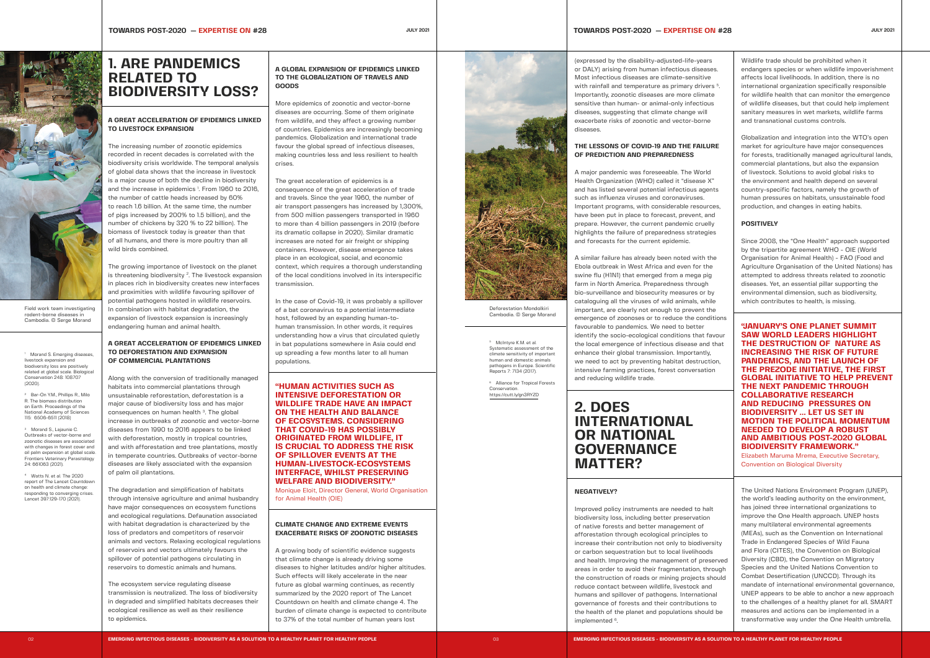### **1. ARE PANDEMICS RELATED TO BIODIVERSITY LOSS?**

#### **A GREAT ACCELERATION OF EPIDEMICS LINKED TO LIVESTOCK EXPANSION**

The increasing number of zoonotic epidemics recorded in recent decades is correlated with the biodiversity crisis worldwide. The temporal analysis of global data shows that the increase in livestock is a major cause of both the decline in biodiversity and the increase in epidemics <sup>1</sup>. From 1960 to 2016, the number of cattle heads increased by 60% to reach 1.6 billion. At the same time, the number of pigs increased by 200% to 1.5 billion), and the number of chickens by 320 % to 22 billion). The biomass of livestock today is greater than that of all humans, and there is more poultry than all wild birds combined.

The growing importance of livestock on the planet is threatening biodiversity  $2$ . The livestock expansion in places rich in biodiversity creates new interfaces and proximities with wildlife favouring spillover of potential pathogens hosted in wildlife reservoirs. In combination with habitat degradation, the expansion of livestock expansion is increasingly endangering human and animal health.

#### **A GREAT ACCELERATION OF EPIDEMICS LINKED TO DEFORESTATION AND EXPANSION OF COMMERCIAL PLANTATIONS**

Along with the conversion of traditionally managed habitats into commercial plantations through unsustainable reforestation, deforestation is a major cause of biodiversity loss and has major consequences on human health <sup>3</sup>. The global increase in outbreaks of zoonotic and vector-borne diseases from 1990 to 2016 appears to be linked with deforestation, mostly in tropical countries, and with afforestation and tree plantations, mostly in temperate countries. Outbreaks of vector-borne diseases are likely associated with the expansion of palm oil plantations.

The degradation and simplification of habitats through intensive agriculture and animal husbandry have major consequences on ecosystem functions and ecological regulations. Defaunation associated with habitat degradation is characterized by the loss of predators and competitors of reservoir animals and vectors. Relaxing ecological regulations of reservoirs and vectors ultimately favours the spillover of potential pathogens circulating in reservoirs to domestic animals and humans.

The ecosystem service regulating disease transmission is neutralized. The loss of biodiversity in degraded and simplified habitats decreases their ecological resilience as well as their resilience to epidemics.

A growing body of scientific evidence suggests that climate change is already driving some diseases to higher latitudes and/or higher altitudes. Such effects will likely accelerate in the near future as global warming continues, as recently summarized by the 2020 report of The Lancet Countdown on health and climate change 4. The burden of climate change is expected to contribute to 37% of the total number of human years lost



#### **A GLOBAL EXPANSION OF EPIDEMICS LINKED TO THE GLOBALIZATION OF TRAVELS AND GOODS**

More epidemics of zoonotic and vector-borne diseases are occurring. Some of them originate from wildlife, and they affect a growing number of countries. Epidemics are increasingly becoming pandemics. Globalization and international trade favour the global spread of infectious diseases, making countries less and less resilient to health crises.

The great acceleration of epidemics is a consequence of the great acceleration of trade and travels. Since the year 1960, the number of air transport passengers has increased by 1,300%, from 500 million passengers transported in 1960 to more than 4 billion passengers in 2019 (before its dramatic collapse in 2020). Similar dramatic increases are noted for air freight or shipping containers. However, disease emergence takes place in an ecological, social, and economic context, which requires a thorough understanding of the local conditions involved in its interspecific transmission.

In the case of Covid-19, it was probably a spillover of a bat coronavirus to a potential intermediate host, followed by an expanding human-tohuman transmission. In other words, it requires understanding how a virus that circulated quietly in bat populations somewhere in Asia could end up spreading a few months later to all human populations.

#### **"HUMAN ACTIVITIES SUCH AS INTENSIVE DEFORESTATION OR WILDLIFE TRADE HAVE AN IMPACT ON THE HEALTH AND BALANCE OF ECOSYSTEMS. CONSIDERING THAT COVID-19 HAS POSSIBLY ORIGINATED FROM WILDLIFE, IT IS CRUCIAL TO ADDRESS THE RISK OF SPILLOVER EVENTS AT THE HUMAN-LIVESTOCK-ECOSYSTEMS INTERFACE, WHILST PRESERVING WELFARE AND BIODIVERSITY."**

Monique Eloit, Director General, World Organisation for Animal Health (OIE)

#### **CLIMATE CHANGE AND EXTREME EVENTS EXACERBATE RISKS OF ZOONOTIC DISEASES**

#### **JULY 2021 TOWARDS POST-2020 — EXPERTISE ON #28 JULY 2021 JULY 2021**

#### (expressed by the disability-adjusted-life-years or DALY) arising from human infectious diseases. Most infectious diseases are climate-sensitive with rainfall and temperature as primary drivers <sup>5</sup> Importantly, zoonotic diseases are more climate sensitive than human- or animal-only infectious diseases, suggesting that climate change will exacerbate risks of zoonotic and vector-borne diseases.

<sup>5</sup> McIntyre K.M. et al. Systematic assessment of the climate sensitivity of important human and domestic animals pathogens in Europe. Scientific Reports 7: 7134 (2017).

<sup>6</sup> Alliance for Tropical Forests **Conservation** https://cutt.ly/gn3RYZD

#### **THE LESSONS OF COVID-19 AND THE FAILURE OF PREDICTION AND PREPAREDNESS**

A major pandemic was foreseeable. The World Health Organization (WHO) called it "disease X" and has listed several potential infectious agents such as influenza viruses and coronaviruses. Important programs, with considerable resources, have been put in place to forecast, prevent, and prepare. However, the current pandemic cruelly highlights the failure of preparedness strategies and forecasts for the current epidemic.

A similar failure has already been noted with the Ebola outbreak in West Africa and even for the swine flu (H1N1) that emerged from a mega pig farm in North America. Preparedness through bio-surveillance and biosecurity measures or by cataloguing all the viruses of wild animals, while important, are clearly not enough to prevent the emergence of zoonoses or to reduce the conditions favourable to pandemics. We need to better identify the socio-ecological conditions that favour the local emergence of infectious disease and that enhance their global transmission. Importantly, we need to act by preventing habitat destruction, intensive farming practices, forest conversation and reducing wildlife trade.

### **2. DOES INTERNATIONAL OR NATIONAL GOVERNANCE MATTER?**

#### **NEGATIVELY?**

Improved policy instruments are needed to biodiversity loss, including better preservation of native forests and better management of afforestation through ecological principles to increase their contribution not only to biodiv or carbon sequestration but to local livelihod and health. Improving the management of present areas in order to avoid their fragmentation, the construction of roads or mining projects reduce contact between wildlife, livestock and humans and spillover of pathogens. Internat governance of forests and their contribution the health of the planet and populations sho implemented <sup>6</sup>.

Wildlife trade should be prohibited when it endangers species or when wildlife impoverishment affects local livelihoods. In addition, there is no international organization specifically responsible for wildlife health that can monitor the emergence of wildlife diseases, but that could help implement sanitary measures in wet markets, wildlife farms and transnational customs controls.

Globalization and integration into the WTO's open market for agriculture have major consequences for forests, traditionally managed agricultural lands, commercial plantations, but also the expansion of livestock. Solutions to avoid global risks to the environment and health depend on several country-specific factors, namely the growth of human pressures on habitats, unsustainable food production, and changes in eating habits.

#### **POSITIVELY**

Since 2008, the "One Health" approach supported by the tripartite agreement WHO - OIE (World Organisation for Animal Health) - FAO (Food and Agriculture Organisation of the United Nations) has attempted to address threats related to zoonotic diseases. Yet, an essential pillar supporting the environmental dimension, such as biodiversity, which contributes to health, is missing.

**"JANUARY'S ONE PLANET SUMMIT SAW WORLD LEADERS HIGHLIGHT THE DESTRUCTION OF NATURE AS INCREASING THE RISK OF FUTURE PANDEMICS, AND THE LAUNCH OF THE PREZODE INITIATIVE, THE FIRST GLOBAL INITIATIVE TO HELP PREVENT THE NEXT PANDEMIC THROUGH COLLABORATIVE RESEARCH AND REDUCING PRESSURES ON BIODIVERSITY … LET US SET IN MOTION THE POLITICAL MOMENTUM NEEDED TO DEVELOP A ROBUST AND AMBITIOUS POST-2020 GLOBAL BIODIVERSITY FRAMEWORK."**

Elizabeth Maruma Mrema, Executive Secretary, Convention on Biological Diversity

| halt     |
|----------|
| on       |
| F        |
| tο       |
| versity  |
| ods      |
| reserved |
| through  |
| s should |
| and      |
| ional:   |
| ns to    |
| puld be  |
|          |

The United Nations Environment Program (UNEP), the world's leading authority on the environment, has joined three international organizations to improve the One Health approach. UNEP hosts many multilateral environmental agreements (MEAs), such as the Convention on International Trade in Endangered Species of Wild Fauna and Flora (CITES), the Convention on Biological Diversity (CBD), the Convention on Migratory Species and the United Nations Convention to Combat Desertification (UNCCD). Through its mandate of international environmental governance, UNEP appears to be able to anchor a new approach to the challenges of a healthy planet for all. SMART measures and actions can be implemented in a transformative way under the One Health umbrella.



Field work team investigating rodent-borne diseases in Cambodia. © Serge Morand

Morand S. Emerging disease livestock expansion and biodiversity loss are positively related at global scale. Biological Conservation 248: 108707  $(2020)$ 

Deforestation Mondolkiri Cambodia. © Serge Morand

2 Bar-On Y.M., Phillips R., Milo R. The biomass distribution on Earth. Proceedings of the National Academy of Sciences 115: 6506-6511 (2018)

3 Morand S., Lajaunie C. Outbreaks of vector-borne and zoonotic diseases are associated with changes in forest cover and oil palm expansion at global scale. Frontiers Veterinary Parasitology 24: 661063 (2021).

4 Watts N. et al. The 2020 report of The Lancet Countdown on health and climate change: responding to converging crises. Lancet 397:129-170 (2021).